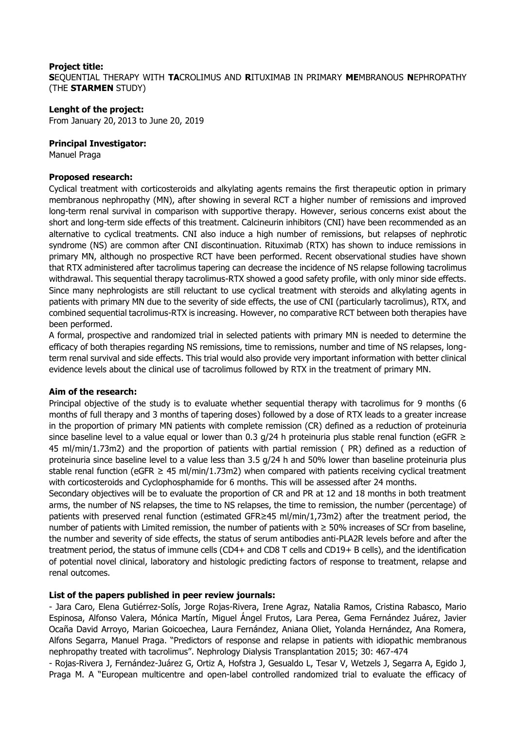#### **Project title: S**EQUENTIAL THERAPY WITH **TA**CROLIMUS AND **R**ITUXIMAB IN PRIMARY **ME**MBRANOUS **N**EPHROPATHY (THE **STARMEN** STUDY)

#### **Lenght of the project:**

From January 20, 2013 to June 20, 2019

### **Principal Investigator:**

Manuel Praga

#### **Proposed research:**

Cyclical treatment with corticosteroids and alkylating agents remains the first therapeutic option in primary membranous nephropathy (MN), after showing in several RCT a higher number of remissions and improved long-term renal survival in comparison with supportive therapy. However, serious concerns exist about the short and long-term side effects of this treatment. Calcineurin inhibitors (CNI) have been recommended as an alternative to cyclical treatments. CNI also induce a high number of remissions, but relapses of nephrotic syndrome (NS) are common after CNI discontinuation. Rituximab (RTX) has shown to induce remissions in primary MN, although no prospective RCT have been performed. Recent observational studies have shown that RTX administered after tacrolimus tapering can decrease the incidence of NS relapse following tacrolimus withdrawal. This sequential therapy tacrolimus-RTX showed a good safety profile, with only minor side effects. Since many nephrologists are still reluctant to use cyclical treatment with steroids and alkylating agents in patients with primary MN due to the severity of side effects, the use of CNI (particularly tacrolimus), RTX, and combined sequential tacrolimus-RTX is increasing. However, no comparative RCT between both therapies have been performed.

A formal, prospective and randomized trial in selected patients with primary MN is needed to determine the efficacy of both therapies regarding NS remissions, time to remissions, number and time of NS relapses, longterm renal survival and side effects. This trial would also provide very important information with better clinical evidence levels about the clinical use of tacrolimus followed by RTX in the treatment of primary MN.

## **Aim of the research:**

Principal objective of the study is to evaluate whether sequential therapy with tacrolimus for 9 months (6 months of full therapy and 3 months of tapering doses) followed by a dose of RTX leads to a greater increase in the proportion of primary MN patients with complete remission (CR) defined as a reduction of proteinuria since baseline level to a value equal or lower than 0.3  $q/24$  h proteinuria plus stable renal function (eGFR  $\geq$ 45 ml/min/1.73m2) and the proportion of patients with partial remission ( PR) defined as a reduction of proteinuria since baseline level to a value less than 3.5 g/24 h and 50% lower than baseline proteinuria plus stable renal function (eGFR  $\geq$  45 ml/min/1.73m2) when compared with patients receiving cyclical treatment with corticosteroids and Cyclophosphamide for 6 months. This will be assessed after 24 months.

Secondary objectives will be to evaluate the proportion of CR and PR at 12 and 18 months in both treatment arms, the number of NS relapses, the time to NS relapses, the time to remission, the number (percentage) of patients with preserved renal function (estimated GFR≥45 ml/min/1,73m2) after the treatment period, the number of patients with Limited remission, the number of patients with  $\geq$  50% increases of SCr from baseline, the number and severity of side effects, the status of serum antibodies anti-PLA2R levels before and after the treatment period, the status of immune cells (CD4+ and CD8 T cells and CD19+ B cells), and the identification of potential novel clinical, laboratory and histologic predicting factors of response to treatment, relapse and renal outcomes.

## **List of the papers published in peer review journals:**

- Jara Caro, Elena Gutiérrez-Solís, Jorge Rojas-Rivera, Irene Agraz, Natalia Ramos, Cristina Rabasco, Mario Espinosa, Alfonso Valera, Mónica Martín, Miguel Ángel Frutos, Lara Perea, Gema Fernández Juárez, Javier Ocaña David Arroyo, Marian Goicoechea, Laura Fernández, Aniana Oliet, Yolanda Hernández, Ana Romera, Alfons Segarra, Manuel Praga. "Predictors of response and relapse in patients with idiopathic membranous nephropathy treated with tacrolimus". Nephrology Dialysis Transplantation 2015; 30: 467-474

- Rojas-Rivera J, Fernández-Juárez G, Ortiz A, Hofstra J, Gesualdo L, Tesar V, Wetzels J, Segarra A, Egido J, Praga M. A "European multicentre and open-label controlled randomized trial to evaluate the efficacy of